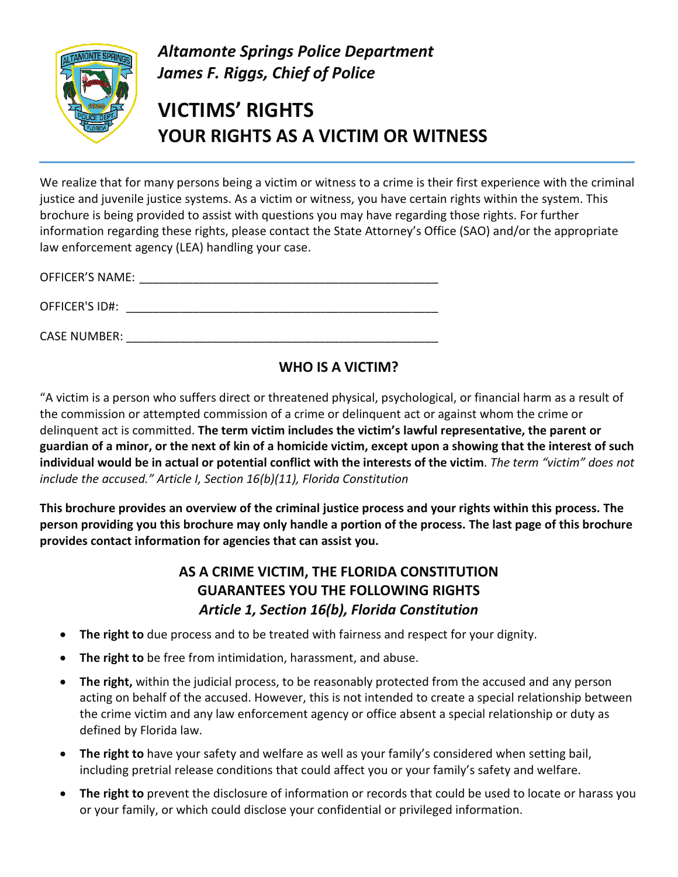

*Altamonte Springs Police Department James F. Riggs, Chief of Police* 

# **VICTIMS' RIGHTS YOUR RIGHTS AS A VICTIM OR WITNESS**

We realize that for many persons being a victim or witness to a crime is their first experience with the criminal justice and juvenile justice systems. As a victim or witness, you have certain rights within the system. This brochure is being provided to assist with questions you may have regarding those rights. For further information regarding these rights, please contact the State Attorney's Office (SAO) and/or the appropriate law enforcement agency (LEA) handling your case.

OFFICER'S NAME: \_\_\_\_\_\_\_\_\_\_\_\_\_\_\_\_\_\_\_\_\_\_\_\_\_\_\_\_\_\_\_\_\_\_\_\_\_\_\_\_\_\_\_\_\_ OFFICER'S ID#: \_\_\_\_\_\_\_\_\_\_\_\_\_\_\_\_\_\_\_\_\_\_\_\_\_\_\_\_\_\_\_\_\_\_\_\_\_\_\_\_\_\_\_\_\_\_\_

CASE NUMBER: \_\_\_\_\_\_\_\_\_\_\_\_\_\_\_\_\_\_\_\_\_\_\_\_\_\_\_\_\_\_\_\_\_\_\_\_\_\_\_\_\_\_\_\_\_\_\_

# **WHO IS A VICTIM?**

"A victim is a person who suffers direct or threatened physical, psychological, or financial harm as a result of the commission or attempted commission of a crime or delinquent act or against whom the crime or delinquent act is committed. **The term victim includes the victim's lawful representative, the parent or guardian of a minor, or the next of kin of a homicide victim, except upon a showing that the interest of such individual would be in actual or potential conflict with the interests of the victim**. *The term "victim" does not include the accused." Article I, Section 16(b)(11), Florida Constitution*

**This brochure provides an overview of the criminal justice process and your rights within this process. The person providing you this brochure may only handle a portion of the process. The last page of this brochure provides contact information for agencies that can assist you.**

# **AS A CRIME VICTIM, THE FLORIDA CONSTITUTION GUARANTEES YOU THE FOLLOWING RIGHTS** *Article 1, Section 16(b), Florida Constitution*

- **The right to** due process and to be treated with fairness and respect for your dignity.
- **The right to** be free from intimidation, harassment, and abuse.
- The right, within the judicial process, to be reasonably protected from the accused and any person acting on behalf of the accused. However, this is not intended to create a special relationship between the crime victim and any law enforcement agency or office absent a special relationship or duty as defined by Florida law.
- **The right to** have your safety and welfare as well as your family's considered when setting bail, including pretrial release conditions that could affect you or your family's safety and welfare.
- **The right to** prevent the disclosure of information or records that could be used to locate or harass you or your family, or which could disclose your confidential or privileged information.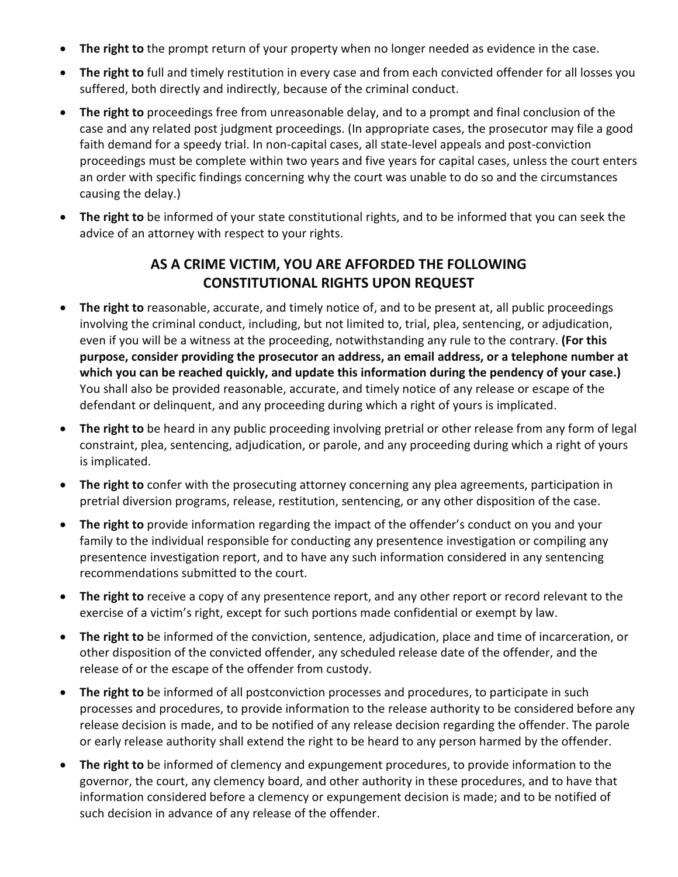- **The right to** the prompt return of your property when no longer needed as evidence in the case.
- **The right to** full and timely restitution in every case and from each convicted offender for all losses you suffered, both directly and indirectly, because of the criminal conduct.
- **The right to** proceedings free from unreasonable delay, and to a prompt and final conclusion of the case and any related post judgment proceedings. (In appropriate cases, the prosecutor may file a good faith demand for a speedy trial. In non-capital cases, all state-level appeals and post-conviction proceedings must be complete within two years and five years for capital cases, unless the court enters an order with specific findings concerning why the court was unable to do so and the circumstances causing the delay.)
- **The right to** be informed of your state constitutional rights, and to be informed that you can seek the advice of an attorney with respect to your rights.

## **AS A CRIME VICTIM, YOU ARE AFFORDED THE FOLLOWING CONSTITUTIONAL RIGHTS UPON REQUEST**

- **The right to** reasonable, accurate, and timely notice of, and to be present at, all public proceedings involving the criminal conduct, including, but not limited to, trial, plea, sentencing, or adjudication, even if you will be a witness at the proceeding, notwithstanding any rule to the contrary. **(For this purpose, consider providing the prosecutor an address, an email address, or a telephone number at which you can be reached quickly, and update this information during the pendency of your case.)** You shall also be provided reasonable, accurate, and timely notice of any release or escape of the defendant or delinquent, and any proceeding during which a right of yours is implicated.
- **The right to** be heard in any public proceeding involving pretrial or other release from any form of legal constraint, plea, sentencing, adjudication, or parole, and any proceeding during which a right of yours is implicated.
- **The right to** confer with the prosecuting attorney concerning any plea agreements, participation in pretrial diversion programs, release, restitution, sentencing, or any other disposition of the case.
- **The right to** provide information regarding the impact of the offender's conduct on you and your family to the individual responsible for conducting any presentence investigation or compiling any presentence investigation report, and to have any such information considered in any sentencing recommendations submitted to the court.
- **The right to** receive a copy of any presentence report, and any other report or record relevant to the exercise of a victim's right, except for such portions made confidential or exempt by law.
- **The right to** be informed of the conviction, sentence, adjudication, place and time of incarceration, or other disposition of the convicted offender, any scheduled release date of the offender, and the release of or the escape of the offender from custody.
- **The right to** be informed of all postconviction processes and procedures, to participate in such processes and procedures, to provide information to the release authority to be considered before any release decision is made, and to be notified of any release decision regarding the offender. The parole or early release authority shall extend the right to be heard to any person harmed by the offender.
- **The right to** be informed of clemency and expungement procedures, to provide information to the governor, the court, any clemency board, and other authority in these procedures, and to have that information considered before a clemency or expungement decision is made; and to be notified of such decision in advance of any release of the offender.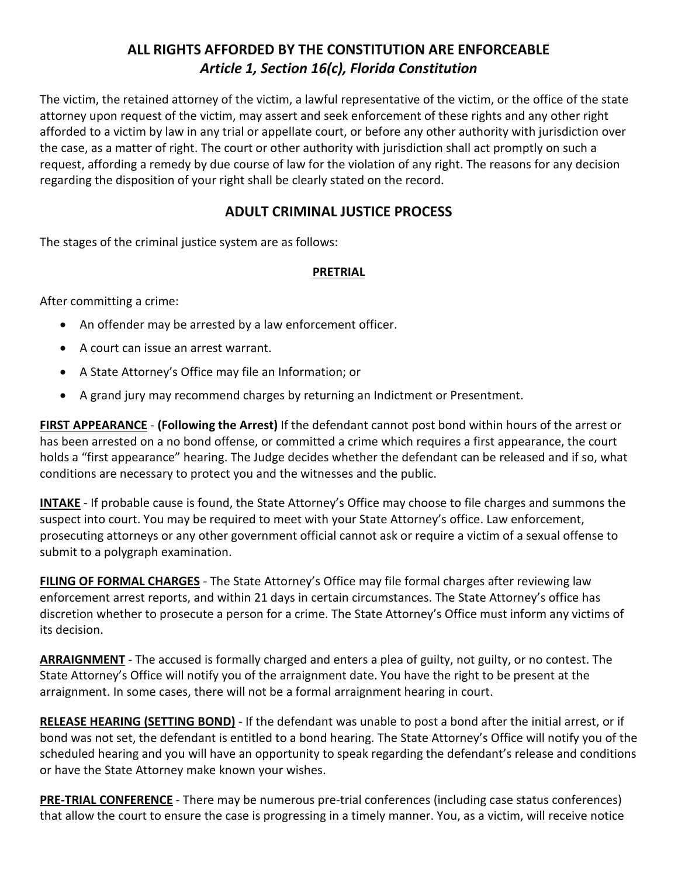## **ALL RIGHTS AFFORDED BY THE CONSTITUTION ARE ENFORCEABLE** *Article 1, Section 16(c), Florida Constitution*

The victim, the retained attorney of the victim, a lawful representative of the victim, or the office of the state attorney upon request of the victim, may assert and seek enforcement of these rights and any other right afforded to a victim by law in any trial or appellate court, or before any other authority with jurisdiction over the case, as a matter of right. The court or other authority with jurisdiction shall act promptly on such a request, affording a remedy by due course of law for the violation of any right. The reasons for any decision regarding the disposition of your right shall be clearly stated on the record.

### **ADULT CRIMINAL JUSTICE PROCESS**

The stages of the criminal justice system are as follows:

#### **PRETRIAL**

After committing a crime:

- An offender may be arrested by a law enforcement officer.
- A court can issue an arrest warrant.
- A State Attorney's Office may file an Information; or
- A grand jury may recommend charges by returning an Indictment or Presentment.

**FIRST APPEARANCE** - **(Following the Arrest)** If the defendant cannot post bond within hours of the arrest or has been arrested on a no bond offense, or committed a crime which requires a first appearance, the court holds a "first appearance" hearing. The Judge decides whether the defendant can be released and if so, what conditions are necessary to protect you and the witnesses and the public.

**INTAKE** - If probable cause is found, the State Attorney's Office may choose to file charges and summons the suspect into court. You may be required to meet with your State Attorney's office. Law enforcement, prosecuting attorneys or any other government official cannot ask or require a victim of a sexual offense to submit to a polygraph examination.

**FILING OF FORMAL CHARGES** - The State Attorney's Office may file formal charges after reviewing law enforcement arrest reports, and within 21 days in certain circumstances. The State Attorney's office has discretion whether to prosecute a person for a crime. The State Attorney's Office must inform any victims of its decision.

**ARRAIGNMENT** - The accused is formally charged and enters a plea of guilty, not guilty, or no contest. The State Attorney's Office will notify you of the arraignment date. You have the right to be present at the arraignment. In some cases, there will not be a formal arraignment hearing in court.

**RELEASE HEARING (SETTING BOND)** - If the defendant was unable to post a bond after the initial arrest, or if bond was not set, the defendant is entitled to a bond hearing. The State Attorney's Office will notify you of the scheduled hearing and you will have an opportunity to speak regarding the defendant's release and conditions or have the State Attorney make known your wishes.

**PRE-TRIAL CONFERENCE** - There may be numerous pre-trial conferences (including case status conferences) that allow the court to ensure the case is progressing in a timely manner. You, as a victim, will receive notice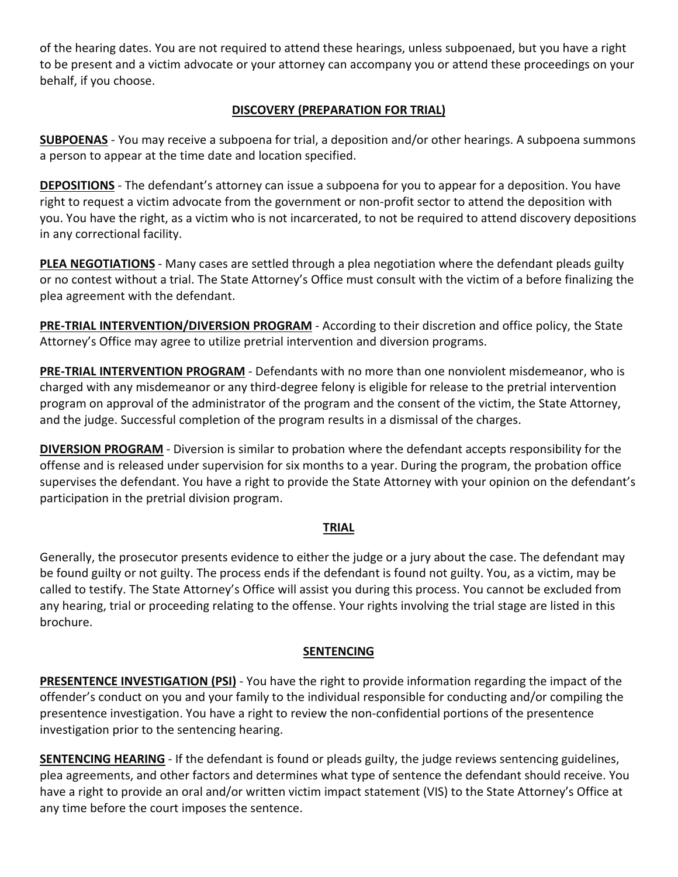of the hearing dates. You are not required to attend these hearings, unless subpoenaed, but you have a right to be present and a victim advocate or your attorney can accompany you or attend these proceedings on your behalf, if you choose.

#### **DISCOVERY (PREPARATION FOR TRIAL)**

**SUBPOENAS** - You may receive a subpoena for trial, a deposition and/or other hearings. A subpoena summons a person to appear at the time date and location specified.

**DEPOSITIONS** - The defendant's attorney can issue a subpoena for you to appear for a deposition. You have right to request a victim advocate from the government or non-profit sector to attend the deposition with you. You have the right, as a victim who is not incarcerated, to not be required to attend discovery depositions in any correctional facility.

**PLEA NEGOTIATIONS** - Many cases are settled through a plea negotiation where the defendant pleads guilty or no contest without a trial. The State Attorney's Office must consult with the victim of a before finalizing the plea agreement with the defendant.

**PRE-TRIAL INTERVENTION/DIVERSION PROGRAM** - According to their discretion and office policy, the State Attorney's Office may agree to utilize pretrial intervention and diversion programs.

**PRE-TRIAL INTERVENTION PROGRAM** - Defendants with no more than one nonviolent misdemeanor, who is charged with any misdemeanor or any third-degree felony is eligible for release to the pretrial intervention program on approval of the administrator of the program and the consent of the victim, the State Attorney, and the judge. Successful completion of the program results in a dismissal of the charges.

**DIVERSION PROGRAM** - Diversion is similar to probation where the defendant accepts responsibility for the offense and is released under supervision for six months to a year. During the program, the probation office supervises the defendant. You have a right to provide the State Attorney with your opinion on the defendant's participation in the pretrial division program.

#### **TRIAL**

Generally, the prosecutor presents evidence to either the judge or a jury about the case. The defendant may be found guilty or not guilty. The process ends if the defendant is found not guilty. You, as a victim, may be called to testify. The State Attorney's Office will assist you during this process. You cannot be excluded from any hearing, trial or proceeding relating to the offense. Your rights involving the trial stage are listed in this brochure.

#### **SENTENCING**

**PRESENTENCE INVESTIGATION (PSI)** - You have the right to provide information regarding the impact of the offender's conduct on you and your family to the individual responsible for conducting and/or compiling the presentence investigation. You have a right to review the non-confidential portions of the presentence investigation prior to the sentencing hearing.

**SENTENCING HEARING** - If the defendant is found or pleads guilty, the judge reviews sentencing guidelines, plea agreements, and other factors and determines what type of sentence the defendant should receive. You have a right to provide an oral and/or written victim impact statement (VIS) to the State Attorney's Office at any time before the court imposes the sentence.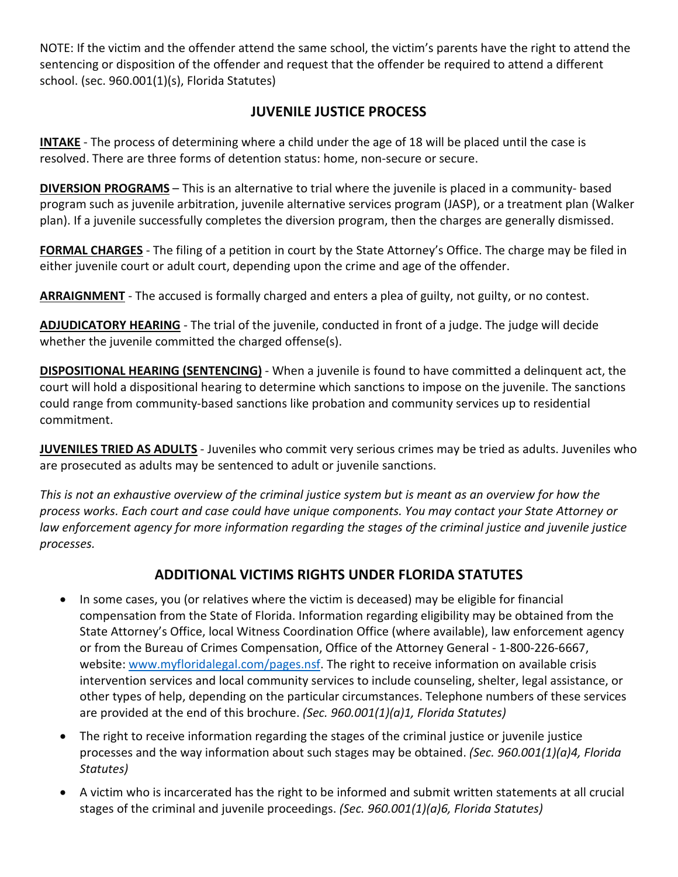NOTE: If the victim and the offender attend the same school, the victim's parents have the right to attend the sentencing or disposition of the offender and request that the offender be required to attend a different school. (sec. 960.001(1)(s), Florida Statutes)

### **JUVENILE JUSTICE PROCESS**

**INTAKE** - The process of determining where a child under the age of 18 will be placed until the case is resolved. There are three forms of detention status: home, non-secure or secure.

**DIVERSION PROGRAMS** – This is an alternative to trial where the juvenile is placed in a community- based program such as juvenile arbitration, juvenile alternative services program (JASP), or a treatment plan (Walker plan). If a juvenile successfully completes the diversion program, then the charges are generally dismissed.

**FORMAL CHARGES** - The filing of a petition in court by the State Attorney's Office. The charge may be filed in either juvenile court or adult court, depending upon the crime and age of the offender.

**ARRAIGNMENT** - The accused is formally charged and enters a plea of guilty, not guilty, or no contest.

**ADJUDICATORY HEARING** - The trial of the juvenile, conducted in front of a judge. The judge will decide whether the juvenile committed the charged offense(s).

**DISPOSITIONAL HEARING (SENTENCING)** - When a juvenile is found to have committed a delinquent act, the court will hold a dispositional hearing to determine which sanctions to impose on the juvenile. The sanctions could range from community-based sanctions like probation and community services up to residential commitment.

**JUVENILES TRIED AS ADULTS** - Juveniles who commit very serious crimes may be tried as adults. Juveniles who are prosecuted as adults may be sentenced to adult or juvenile sanctions.

*This is not an exhaustive overview of the criminal justice system but is meant as an overview for how the process works. Each court and case could have unique components. You may contact your State Attorney or law enforcement agency for more information regarding the stages of the criminal justice and juvenile justice processes.*

# **ADDITIONAL VICTIMS RIGHTS UNDER FLORIDA STATUTES**

- In some cases, you (or relatives where the victim is deceased) may be eligible for financial compensation from the State of Florida. Information regarding eligibility may be obtained from the State Attorney's Office, local Witness Coordination Office (where available), law enforcement agency or from the Bureau of Crimes Compensation, Office of the Attorney General - 1-800-226-6667, website: www.myfloridalegal.com/pages.nsf. The right to receive information on available crisis intervention services and local community services to include counseling, shelter, legal assistance, or other types of help, depending on the particular circumstances. Telephone numbers of these services are provided at the end of this brochure. *(Sec. 960.001(1)(a)1, Florida Statutes)*
- The right to receive information regarding the stages of the criminal justice or juvenile justice processes and the way information about such stages may be obtained. *(Sec. 960.001(1)(a)4, Florida Statutes)*
- A victim who is incarcerated has the right to be informed and submit written statements at all crucial stages of the criminal and juvenile proceedings. *(Sec. 960.001(1)(a)6, Florida Statutes)*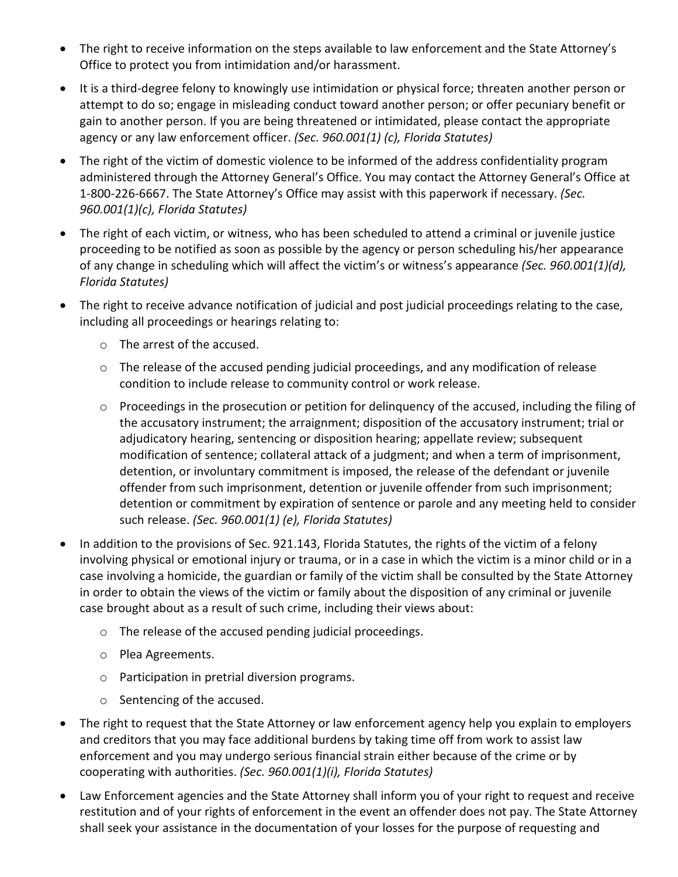- The right to receive information on the steps available to law enforcement and the State Attorney's Office to protect you from intimidation and/or harassment.
- It is a third-degree felony to knowingly use intimidation or physical force; threaten another person or attempt to do so; engage in misleading conduct toward another person; or offer pecuniary benefit or gain to another person. If you are being threatened or intimidated, please contact the appropriate agency or any law enforcement officer. *(Sec. 960.001(1) (c), Florida Statutes)*
- The right of the victim of domestic violence to be informed of the address confidentiality program administered through the Attorney General's Office. You may contact the Attorney General's Office at 1-800-226-6667. The State Attorney's Office may assist with this paperwork if necessary. *(Sec. 960.001(1)(c), Florida Statutes)*
- The right of each victim, or witness, who has been scheduled to attend a criminal or juvenile justice proceeding to be notified as soon as possible by the agency or person scheduling his/her appearance of any change in scheduling which will affect the victim's or witness's appearance *(Sec. 960.001(1)(d), Florida Statutes)*
- The right to receive advance notification of judicial and post judicial proceedings relating to the case, including all proceedings or hearings relating to:
	- o The arrest of the accused.
	- o The release of the accused pending judicial proceedings, and any modification of release condition to include release to community control or work release.
	- o Proceedings in the prosecution or petition for delinquency of the accused, including the filing of the accusatory instrument; the arraignment; disposition of the accusatory instrument; trial or adjudicatory hearing, sentencing or disposition hearing; appellate review; subsequent modification of sentence; collateral attack of a judgment; and when a term of imprisonment, detention, or involuntary commitment is imposed, the release of the defendant or juvenile offender from such imprisonment, detention or juvenile offender from such imprisonment; detention or commitment by expiration of sentence or parole and any meeting held to consider such release. *(Sec. 960.001(1) (e), Florida Statutes)*
- In addition to the provisions of Sec. 921.143, Florida Statutes, the rights of the victim of a felony involving physical or emotional injury or trauma, or in a case in which the victim is a minor child or in a case involving a homicide, the guardian or family of the victim shall be consulted by the State Attorney in order to obtain the views of the victim or family about the disposition of any criminal or juvenile case brought about as a result of such crime, including their views about:
	- o The release of the accused pending judicial proceedings.
	- o Plea Agreements.
	- o Participation in pretrial diversion programs.
	- o Sentencing of the accused.
- The right to request that the State Attorney or law enforcement agency help you explain to employers and creditors that you may face additional burdens by taking time off from work to assist law enforcement and you may undergo serious financial strain either because of the crime or by cooperating with authorities. *(Sec. 960.001(1)(i), Florida Statutes)*
- Law Enforcement agencies and the State Attorney shall inform you of your right to request and receive restitution and of your rights of enforcement in the event an offender does not pay. The State Attorney shall seek your assistance in the documentation of your losses for the purpose of requesting and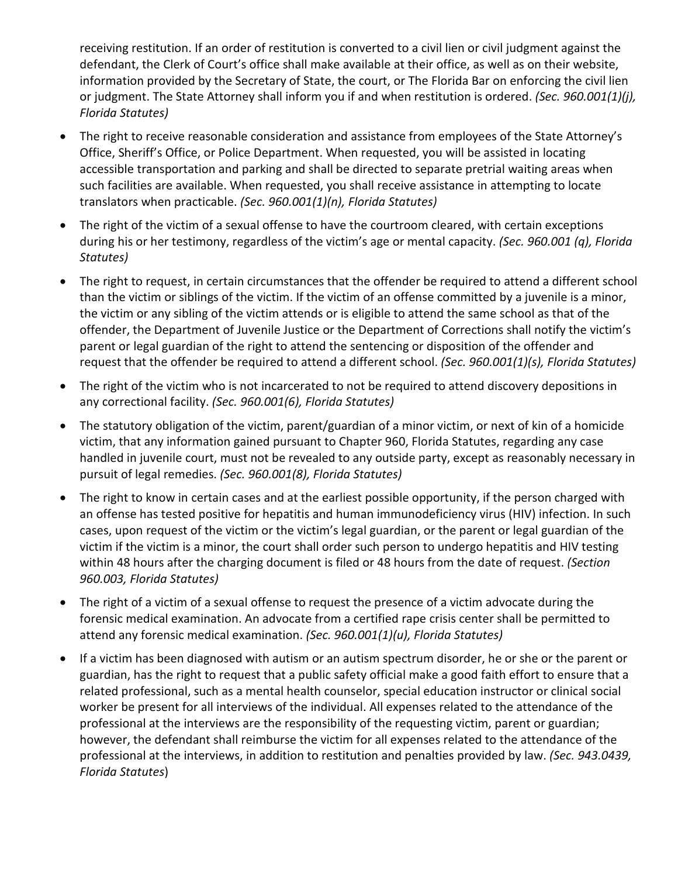receiving restitution. If an order of restitution is converted to a civil lien or civil judgment against the defendant, the Clerk of Court's office shall make available at their office, as well as on their website, information provided by the Secretary of State, the court, or The Florida Bar on enforcing the civil lien or judgment. The State Attorney shall inform you if and when restitution is ordered. *(Sec. 960.001(1)(j), Florida Statutes)*

- The right to receive reasonable consideration and assistance from employees of the State Attorney's Office, Sheriff's Office, or Police Department. When requested, you will be assisted in locating accessible transportation and parking and shall be directed to separate pretrial waiting areas when such facilities are available. When requested, you shall receive assistance in attempting to locate translators when practicable. *(Sec. 960.001(1)(n), Florida Statutes)*
- The right of the victim of a sexual offense to have the courtroom cleared, with certain exceptions during his or her testimony, regardless of the victim's age or mental capacity. *(Sec. 960.001 (q), Florida Statutes)*
- The right to request, in certain circumstances that the offender be required to attend a different school than the victim or siblings of the victim. If the victim of an offense committed by a juvenile is a minor, the victim or any sibling of the victim attends or is eligible to attend the same school as that of the offender, the Department of Juvenile Justice or the Department of Corrections shall notify the victim's parent or legal guardian of the right to attend the sentencing or disposition of the offender and request that the offender be required to attend a different school. *(Sec. 960.001(1)(s), Florida Statutes)*
- The right of the victim who is not incarcerated to not be required to attend discovery depositions in any correctional facility. *(Sec. 960.001(6), Florida Statutes)*
- The statutory obligation of the victim, parent/guardian of a minor victim, or next of kin of a homicide victim, that any information gained pursuant to Chapter 960, Florida Statutes, regarding any case handled in juvenile court, must not be revealed to any outside party, except as reasonably necessary in pursuit of legal remedies. *(Sec. 960.001(8), Florida Statutes)*
- The right to know in certain cases and at the earliest possible opportunity, if the person charged with an offense has tested positive for hepatitis and human immunodeficiency virus (HIV) infection. In such cases, upon request of the victim or the victim's legal guardian, or the parent or legal guardian of the victim if the victim is a minor, the court shall order such person to undergo hepatitis and HIV testing within 48 hours after the charging document is filed or 48 hours from the date of request. *(Section 960.003, Florida Statutes)*
- The right of a victim of a sexual offense to request the presence of a victim advocate during the forensic medical examination. An advocate from a certified rape crisis center shall be permitted to attend any forensic medical examination. *(Sec. 960.001(1)(u), Florida Statutes)*
- If a victim has been diagnosed with autism or an autism spectrum disorder, he or she or the parent or guardian, has the right to request that a public safety official make a good faith effort to ensure that a related professional, such as a mental health counselor, special education instructor or clinical social worker be present for all interviews of the individual. All expenses related to the attendance of the professional at the interviews are the responsibility of the requesting victim, parent or guardian; however, the defendant shall reimburse the victim for all expenses related to the attendance of the professional at the interviews, in addition to restitution and penalties provided by law. *(Sec. 943.0439, Florida Statutes*)